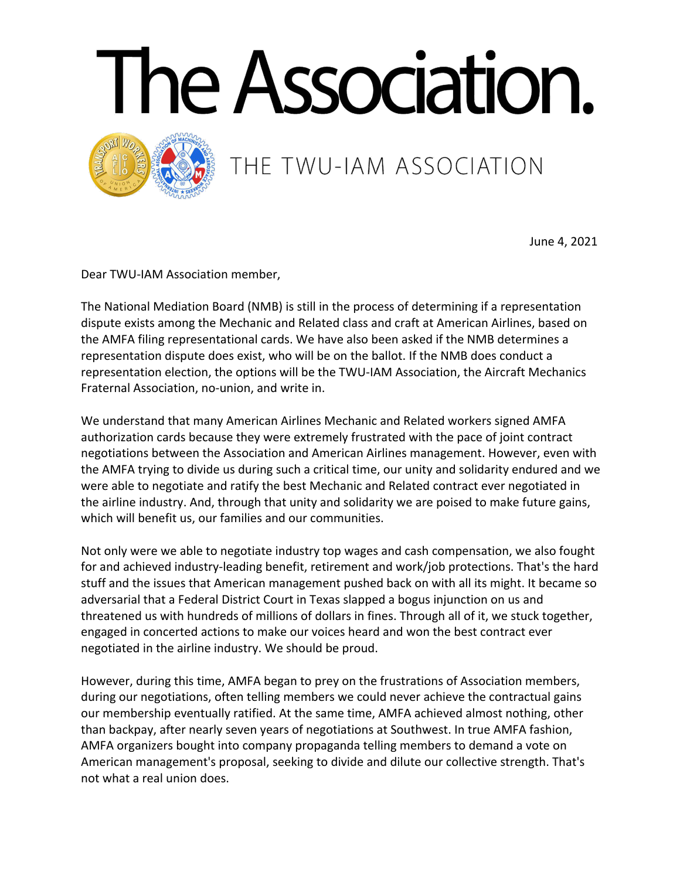



THE TWU-IAM ASSOCIATION

June 4, 2021

Dear TWU-IAM Association member,

The National Mediation Board (NMB) is still in the process of determining if a representation dispute exists among the Mechanic and Related class and craft at American Airlines, based on the AMFA filing representational cards. We have also been asked if the NMB determines a representation dispute does exist, who will be on the ballot. If the NMB does conduct a representation election, the options will be the TWU-IAM Association, the Aircraft Mechanics Fraternal Association, no-union, and write in.

We understand that many American Airlines Mechanic and Related workers signed AMFA authorization cards because they were extremely frustrated with the pace of joint contract negotiations between the Association and American Airlines management. However, even with the AMFA trying to divide us during such a critical time, our unity and solidarity endured and we were able to negotiate and ratify the best Mechanic and Related contract ever negotiated in the airline industry. And, through that unity and solidarity we are poised to make future gains, which will benefit us, our families and our communities.

Not only were we able to negotiate industry top wages and cash compensation, we also fought for and achieved industry-leading benefit, retirement and work/job protections. That's the hard stuff and the issues that American management pushed back on with all its might. It became so adversarial that a Federal District Court in Texas slapped a bogus injunction on us and threatened us with hundreds of millions of dollars in fines. Through all of it, we stuck together, engaged in concerted actions to make our voices heard and won the best contract ever negotiated in the airline industry. We should be proud.

However, during this time, AMFA began to prey on the frustrations of Association members, during our negotiations, often telling members we could never achieve the contractual gains our membership eventually ratified. At the same time, AMFA achieved almost nothing, other than backpay, after nearly seven years of negotiations at Southwest. In true AMFA fashion, AMFA organizers bought into company propaganda telling members to demand a vote on American management's proposal, seeking to divide and dilute our collective strength. That's not what a real union does.